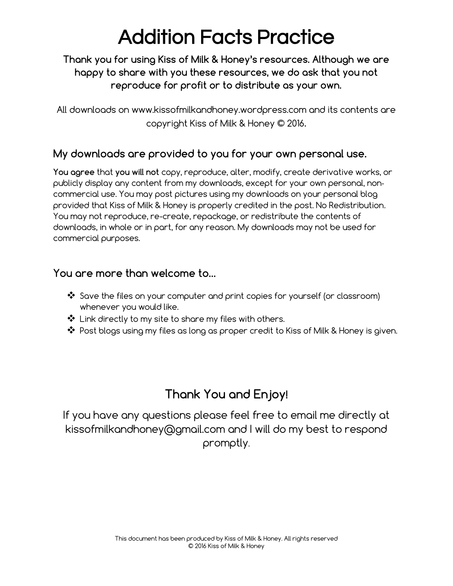# Addition Facts Practice

#### Thank you for using Kiss of Milk & Honey's resources. Although we are happy to share with you these resources, we do ask that you not reproduce for profit or to distribute as your own.

All downloads on www.kissofmilkandhoney.wordpress.com and its contents are copyright Kiss of Milk & Honey © 2016.

#### My downloads are provided to you for your own personal use.

You agree that you will not copy, reproduce, alter, modify, create derivative works, or publicly display any content from my downloads, except for your own personal, non‐ commercial use. You may post pictures using my downloads on your personal blog provided that Kiss of Milk & Honey is properly credited in the post. No Redistribution. You may not reproduce, re-create, repackage, or redistribute the contents of downloads, in whole or in part, for any reason. My downloads may not be used for commercial purposes.

#### You are more than welcome to…

- ❖ Save the files on your computer and print copies for yourself (or classroom) whenever you would like.
- ❖ Link directly to my site to share my files with others.
- ❖ Post blogs using my files as long as proper credit to Kiss of Milk & Honey is given.

#### Thank You and Enjoy!

If you have any questions please feel free to email me directly at kissofmilkandhoney@gmail.com and I will do my best to respond promptly.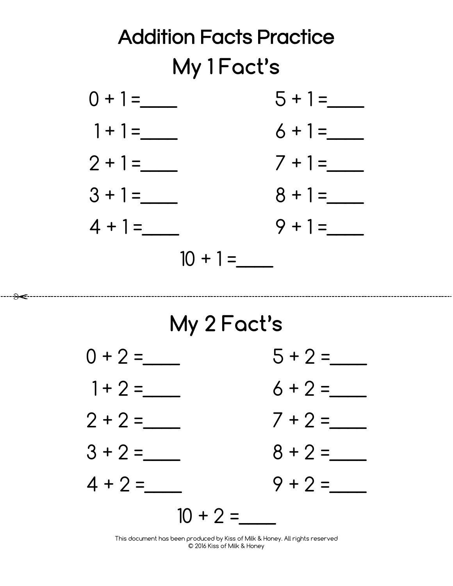

### My 2 Fact's

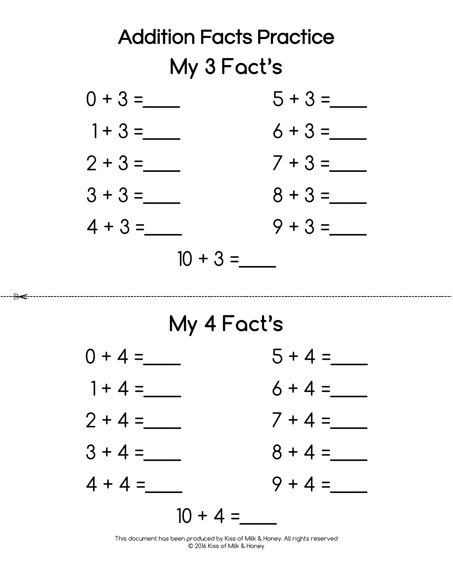

### My 4 Fact's

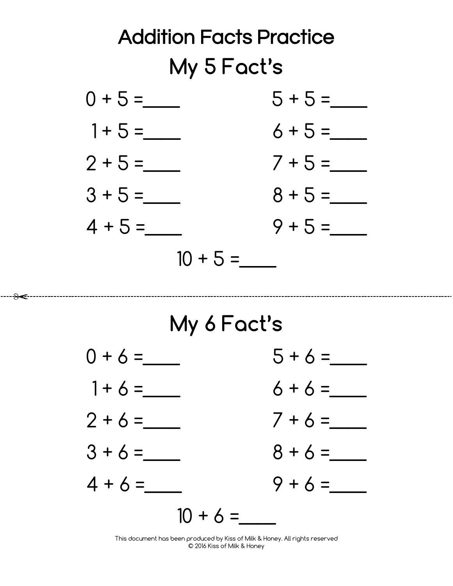

### My 6 Fact's

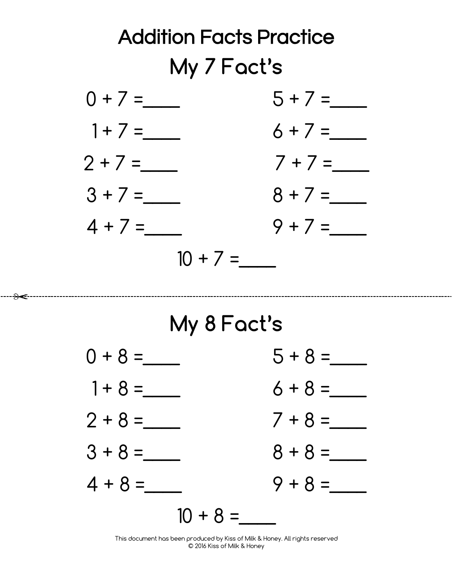

## My 8 Fact's